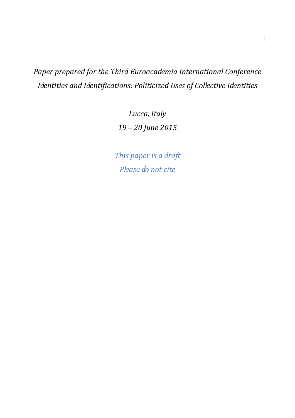*Paper prepared for the Third Euroacademia International Conference Identities and Identifications: Politicized Uses of Collective Identities* 

> *Lucca, Italy 19 – 20 June 2015*

*This paper is a draft Please do not cite*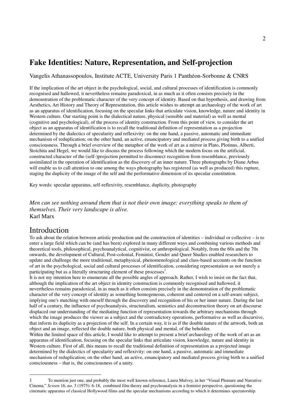# **Fake Identities: Nature, Representation, and Self-projection**

Vangelis Athanassopoulos, Institute ACTE, University Paris 1 Panthéon-Sorbonne & CNRS

If the implication of the art object in the psychological, social, and cultural processes of identification is commonly recognised and hallowed, it nevertheless remains paradoxical, in as much as it often consists precisely in the demonstration of the problematic character of the very concept of identity. Based on that hypothesis, and drawing from Aesthetics, Art History and Theory of Representation, this article wishes to attempt an archaeology of the work of art as an apparatus of identification, focusing on the specular links that articulate vision, knowledge, nature and identity in Western culture. Our starting point is the dialectical nature, physical (sensible and material) as well as mental (cognitive and psychological), of the process of identity construction. From this point of view, to consider the art object as an apparatus of identification is to recall the traditional definition of representation as a projection determined by the dialectics of specularity and reflexivity: on the one hand, a passive, automatic and immediate mechanism of reduplication; on the other hand, an active, emancipatory and mediated process giving birth to a unified consciousness. Through a brief overview of the metaphor of the work of art as a mirror in Plato, Plotinus, Alberti, Stoichita and Hegel, we would like to discuss the process following which the modern focus on the artificial, constructed character of the (self-)projection permitted to disconnect recognition from resemblance, previously assimilated in the operation of identification as the discovery of an inner nature. Three photographs by Diane Arbus will enable us to call attention to one among the ways photography has registered (as well as produced) this rupture, staging the duplicity of the image of the self and the performative dimension of its specular constitution.

Key words: specular apparatus, self-reflexivity, resemblance, duplicity, photography

*Men can see nothing around them that is not their own image: everything speaks to them of themselves. Their very landscape is alive.*  Karl Marx

#### Introduction

 $\overline{a}$ 

To ask about the relation between artistic production and the construction of identities – individual or collective – is to enter a large field which can be (and has been) explored in many different ways and combining various methods and theoretical tools, philosophical, psychoanalytical, cognitivist, or anthropological. Notably, from the 60s and the 70s onwards, the development of Cultural, Post-colonial, Feminist, Gender and Queer Studies enabled researchers to update and challenge the more traditional, metaphysical, phenomenological and class-based accounts on the function of art in the psychological, social and cultural processes of identification, considering representation as not merely a participating but as a literally structuring element of these processes<sup>1</sup>.

It is not my intention here to enumerate all the possible angles of approach. Rather, I wish to insist on the fact that, although the implication of the art object in identity construction is commonly recognised and hallowed, it nevertheless remains paradoxical, in as much as it often consists precisely in the demonstration of the problematic character of the very concept of identity as something homogeneous, coherent and centered on a self-aware subject, implying one's matching with oneself through the discovery and recognition of his or her inner nature. During the last half of a century, the influence of psychoanalysis, structuralism, semiotics and deconstruction theory on art discourse displaced our understanding of the mediating function of representation towards the arbitrary mechanisms through which the image produces the viewer as a subject and the contradictory operations, performative as well as discursive, that inform its duplicity as a projection of the self. In a certain way, it is as if the double nature of the artwork, both an object and an image, reflected the double nature, both physical and mental, of the beholder.

Within the limited space of this article, I would like to attempt to present a brief archaeology of the work of art as an apparatus of identification, focusing on the specular links that articulate vision, knowledge, nature and identity in Western culture. First of all, this means to recall the traditional definition of representation as a projected image determined by the dialectics of specularity and reflexivity: on one hand, a passive, automatic and immediate mechanism of reduplication; on the other hand, an active, emancipatory and mediated process giving birth to a unified consciousness – that is, the consciousness of a unity.

<sup>1</sup> To mention just one, and probably the most well known reference, Laura Mulvey, in her "Visual Pleasure and Narrative Cinema," *Screen* 16, no. 3 (1975): 6-18, combined film theory and psychoanalysis in a feminist perspective, questioning the cinematic apparatus of classical Hollywood films and the specular mechanisms according to which it determines spectatorship.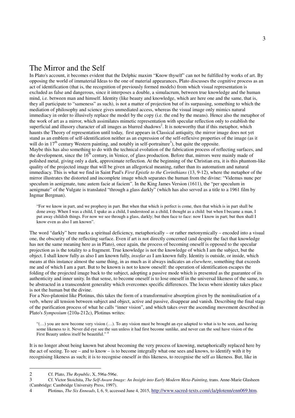### The Mirror and the Self

In Plato's account, it becomes evident that the Delphic maxim "Know thyself" can not be fulfilled by works of art. By opposing the world of immaterial Ideas to the one of material appearances, Plato discusses the cognitive process as an act of identification (that is, the recognition of previously formed models) from which visual representation is excluded as false and dangerous, since it interposes a double, a simulacrum, between true knowledge and the human mind, i.e. between man and himself. Identity (like beauty and knowledge, which are here one and the same, that is, they all participate to "sameness" as such), is not a matter of projection but of its surpassing, something to which the mediation of philosophy and science gives unmediated access, whereas the visual image only mimics natural immediacy in order to illusively replace the model by the copy (i.e. the end by the means). Hence also the metaphor of the work of art as a mirror, which assimilates mimetic representation with specular reflection only to establish the superficial and illusory character of all images as blurred shadows<sup>2</sup>. It is noteworthy that if this metaphor, which haunts the Theory of representation until today, first appears in Classical antiquity, the mirror image does not yet stand as an emblem of self-identification neither as an expression of the self-reflexive properties of the image (as it will do in  $17<sup>th</sup>$  century Western painting, and notably in self-portraiture<sup>3</sup>), but quite the opposite. Maybe this has also something to do with the technical evolution of the fabrication process of reflecting surfaces, and the development, since the  $16<sup>th</sup>$  century, in Venice, of glass production. Before that, mirrors were mainly made of polished metal, giving only a dark, approximate reflection. At the beginning of the Christian era, it is this phantom-like quality of the projected image that will be given an allegorical meaning, rather than its automatism and natural immediacy. This is what we find in Saint Paul's *First Epistle to the Corinthians* (13, 9-12), where the metaphor of the mirror illustrates the distorted and incomplete image which separates the human from the divine: "Videmus nunc per speculum in aenigmate, tunc autem facie at faciem". In the King James Version (1611), the "per speculum in aenigmate" of the Vulgate is translated "through a glass darkly" (which has also served as a title to a 1961 film by Ingmar Bergman).

"For we know in part, and we prophesy in part. But when that which is perfect is come, then that which is in part shall be done away. When I was a child, I spake as a child, I understood as a child, I thought as a child: but when I became a man, I put away childish things. For now we see through a glass, darkly; but then face to face: now I know in part; but then shall I know even as also I am known".

The word "darkly" here marks a spiritual deficiency, metaphorically – or rather metonymically – encoded into a visual one, the obscurity of the reflecting surface. Even if art is not directly concerned (and despite the fact that knowledge has not the same meaning here as in Plato), once again, the process of becoming oneself is opposed to the specular projection as is the totality to a fragment. True knowledge is not the knowledge of which I am the subject, but the object. I shall know fully as also I am known fully, *insofar as* I am known fully. Identity is outside, or inside, which means at this instance almost the same thing, in as much as it always indicates an *elsewhere*, something that exceeds me and of which I am a part. But to be known is not to know oneself: the operation of identification escapes the folding of the projected image back to the subject, adopting a passive mode which is presented as the guarantee of its authenticity and inner unity. In that sense, to become oneself is to lose oneself in the universal likeness of the same, to be abstracted in a transcendent generality which overcomes specific differences. The locus where identity takes place is not the human but the divine.

For a Neo-platonist like Plotinus, this takes the form of a transformative absorption given by the nominalisation of a verb, where all tension between subject and object, active and passive, disappear and vanish. Describing the final stage of the purification process of what he calls "inner vision", and which takes over the ascending movement described in Plato's *Symposium* (210a-212c), Plotinus writes:

" $(\ldots)$  you are now become very vision  $(\ldots)$ . To any vision must be brought an eye adapted to what is to be seen, and having some likeness to it. Never did eye see the sun unless it had first become sunlike, and never can the soul have vision of the First Beauty unless itself be beautiful."<sup>4</sup>

It is no longer about being known but about becoming the very process of knowing, metaphorically replaced here by the act of seeing. To see – and to know – is to become integrally what one sees and knows, to identify with it by recognising likeness as such; it is to recognise oneself *in* this likeness, to recognise the self *as* likeness. But, like in

 $\overline{a}$ 

<sup>2</sup> Cf. Plato, *The Republic*, X, 596a-596e.

<sup>3</sup> Cf. Victor Stoichita, *The Self-Aware Image: An Insight into Early Modern Meta-Painting*, trans. Anne-Marie Glasheen (Cambridge: Cambridge University Press, 1997).

<sup>4</sup> Plotinus, *The Six Enneads*, I, 6, 9, accessed June 4, 2015, http://www.sacred-texts.com/cla/plotenn/enn069.htm.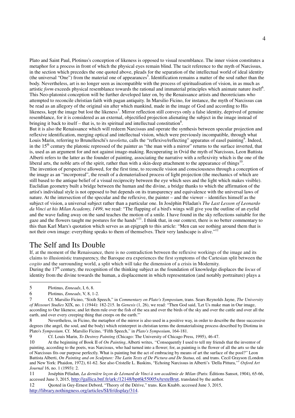Plato and Saint Paul, Plotinus's conception of likeness is opposed to visual resemblance. The inner vision constitutes a metaphor for a process in front of which the physical eyes remain blind. The tacit reference to the myth of Narcissus, in the section which precedes the one quoted above, pleads for the separation of the intellectual world of ideal identity (the universal "One") from the material one of appearances<sup>5</sup>. Identification remains a matter of the soul rather than the body. Nevertheless, art is no longer seen as incompatible with the process of spiritualisation of vision, in as much as artistic *form* exceeds physical resemblance towards the rational and immaterial principles which animate nature itself<sup>6</sup>. This Neo-platonist conception will be further developed later on, by the Renaissance artists and theoreticians who attempted to reconcile christian faith with pagan antiquity. In Marsilio Ficino, for instance, the myth of Narcissus can be read as an allegory of the original sin after which mankind, made in the image of God and according to His likeness, kept the image but lost the likeness<sup>7</sup>. Mirror reflection still conveys only a false identity, deprived of genuine resemblance, for it is considered as an external, objectified projection alienating the subject in the image instead of bringing it back to itself – that is, to its spiritual and intellectual constitution<sup>8</sup>.

But it is also the Renaissance which will redeem Narcissus and operate the synthesis between specular projection and reflexive identification, merging optical and intellectual vision, which were previously incompatible, through what Louis Marin, referring to Brunelleschi's *tavoletta*, calls the "reflexive/reflecting" apparatus of easel painting<sup>9</sup>. Indeed, in the  $15<sup>th</sup>$  century the platonic repressed of the painter as "the man with a mirror" returns to the surface inverted, that is, used as an argument for and not against image-making. Recuperating in Ovid the myth of Narcissus, Leon Battista Alberti refers to the latter as the founder of painting, associating the narrative with a reflexivity which is the one of the liberal arts, the noble arts of the spirit, rather than with a skin-deep attachment to the appearance of things $^{10}$ . The invention of perspective allowed, for the first time, to reconcile vision and consciousness through a conception of the image as an "incorporeal", the result of a dematerialised process of light projection (the mechanics of which are still based to the antique belief of a visual reciprocity between the eye which sees and the light which makes visible). Euclidian geometry built a bridge between the human and the divine, a bridge thanks to which the affirmation of the artist's individual style is not opposed to but depends on its transparency and equivalence with the universal laws of nature. At the intersection of the specular and the reflexive, the painter – and the viewer – identifies himself as the subject of vision, a universal subject rather than a particular one. In Joséphin Péladan's *The Last Lesson of Leonardo da Vinci at his Milan Academy, 1499*, we read: "The flapping of a bird's wings will give you the outline of an eyelid and the wave fading away on the sand teaches the motion of a smile. I have found in the sky reflections suitable for the gaze and the flowers taught me postures for the hands"<sup>11</sup>. I think that, in our context, there is no better commentary to this than Karl Marx's quotation which serves as an epigraph to this article: "Men can see nothing around them that is not their own image: everything speaks to them of themselves. Their very landscape is alive."<sup>1</sup>

#### The Self and Its Double

If, at the moment of the Renaissance, there is no contradiction between the reflexive workings of the image and its claims to illusionistic transparency, the Baroque era experiences the first symptoms of the Cartesian split between the *cogito* and the surrounding world, a split which will take the dimension of a crisis in Modernity.

During the 17<sup>th</sup> century, the recognition of the thinking subject as the foundation of knowledge displaces the *locus* of identity from the divine towards the human, a displacement in which representation (and notably portraiture) plays a

 $\overline{a}$ 

9 Cf. Louis Marin, *To Destroy Painting* (Chicago: The University of Chicago Press, 1995), 46-47.

<sup>5</sup> Plotinus, *Enneads*, I, 6, 8.

<sup>6</sup>Plotinus, *Enneads*, V, 8, 1-2.

<sup>7</sup> Cf. Marsilio Ficino, "Sixth Speech," in *Commentary on Plato's Symposium*, trans. Sears Reynolds Jayne, *The University of Missouri Studies* XIX, no. 1 (1944): 182-215. In *Genesis* (1, 26), we read: "Then God said, 'Let Us make man in Our image, according to Our likeness; and let them rule over the fish of the sea and over the birds of the sky and over the cattle and over all the earth, and over every creeping thing that creeps on the earth.'"

Nevertheless, in Ficino, the metaphor of the mirror is also used in a positive way, in order to describe the three successive degrees (the angel, the soul, and the body) which reinterpret in christian terms the dematerialising process described by Diotima in Plato's *Symposium*. Cf. Marsilio Ficino, "Fifth Speech," in *Plato's Symposium*, 164-181.

<sup>10</sup> At the beginning of Book II of *On Painting*, Alberti writes, ''Consequently I used to tell my friends that the inventor of painting, according to the poets, was Narcissus, who had turned into a flower; for, as painting is the flower of all the arts so the tale of Narcissus fits our purpose perfectly. What is painting but the act of embracing by means of art the surface of the pool?'' Leon Battista Alberti, *On Painting and on Sculpture: The Latin Texts of De Pictura and De Statua*, ed. and trans. Cecil Grayson (London and New York: Phaidon, 1972), 61-62. See also Cristelle L. Baskins, "Echoing Narcissus in Alberti's 'Della Pittura,'" *Oxford Art Journal* 16, no. 1 (1993): 2.

<sup>11</sup> Joséphin Péladan, *La dernière leçon de Léonard de Vinci à son académie de Milan* (Paris: Éditions Sansot, 1904), 65-66, accessed June 3, 2015, http://gallica.bnf.fr/ark:/12148/bpt6k55005x/texteBrut, translated by the author.

<sup>12</sup> Quoted in Guy-Ernest Debord, "Theory of the Dérive," trans. Ken Knabb, accessed June 3, 2015, http://library.nothingness.org/articles/SI/fr/display/314.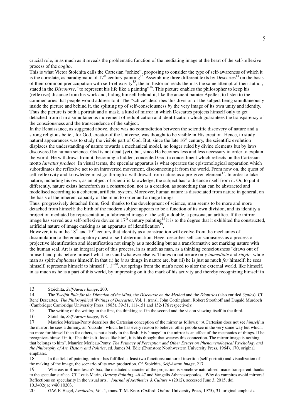crucial role, in as much as it reveals the problematic function of the mediating image at the heart of the self-reflexive process of the *cogito*.

This is what Victor Stoichita calls the Cartesian "schize", proposing to consider the type of self-awareness of which it is the correlate, as paradigmatic of  $17<sup>th</sup>$  century painting<sup>13</sup>. Assembling three different texts by Descartes<sup>14</sup> on the basis of their common preoccupation with self-reflexivity<sup>15</sup>, the art historian reads them as the same attempt of their author, stated in the *Discourse*, "to represent his life like a painting"<sup>16</sup>. This picture enables the philosopher to keep his (reflexive) distance from his work and, hiding himself behind it, like the ancient painter Apelles, to listen to the commentaries that people would address to it. The "schize" describes this division of the subject being simultaneously inside the picture and behind it, the splitting up of self-consciousness *by* the very image of its own unity and identity. Thus the picture is both a portrait and a mask, a kind of mirror in which Descartes projects himself only to get detached from it in a simultaneous movement of reduplication and identification which guarantees the transparency of the consciousness and the transcendence of the subject.

In the Renaissance, as suggested above, there was no contradiction between the scientific discovery of nature and a strong religious belief, for God, creator of the Universe, was thought to be visible in His creation. Hence, to study natural appearances was to study the visible part of God. But, since the late  $16<sup>th</sup>$  century, the scientific evolution displaces the understanding of nature towards a mechanical model, no longer ruled by divine elements but by laws discovered by human science. God is not dead (yet), but, since He becomes less and less necessary in order to explain the world, He withdraws from it, becoming a hidden, concealed God (a concealment which reflects on the Cartesian motto *larvatus prodeo*). In visual terms, the specular apparatus is what operates the epistemological separation which subordinates the reflexive act to an introverted movement, disconnecting it from the world. From now on, the quest of self-reflexivity and knowledge must go through a withdrawal from nature as a pre-given element<sup>17</sup>. In order to take nature, including his own, as an object of scientific knowledge, the subject has to distance itself from it. Or, to put it differently, nature exists henceforth as a construction, not as a creation, as something that can be abstracted and modelised according to a coherent, artificial system. Moreover, human nature is dissociated from nature in general, on the basis of the inherent capacity of the mind to order and arrange things.

Thus, progressively detached from, God, thanks to the development of science, man seems to be more and more detached from himself: the birth of the modern subject appears to be a function of its own division, and its identity a projection mediated by representation, a fabricated image of the self, a double, a persona, an artifice. If the mirror image has served as a self-reflexive device in  $17<sup>th</sup>$  century painting<sup>18</sup> it is to the degree that it exhibited the constructed, artificial nature of image-making as an apparatus of identification<sup>19</sup>.

However, it is in the  $18^{th}$  and  $19^{th}$  century that identity as a construction will evolve from the mechanics of dissimulation to the emancipatory quest of self-determination. Hegel describes self-consciousness as a process of projective identification and identification not simply as a modeling but as a transformative act marking nature with the human seal. Art is an integral part of this process, in as much as man, as a thinking consciousness "draws out of himself and puts before himself what he is and whatever else is. Things in nature are only *immediate* and *single*, while man as spirit *duplicates* himself, in that (i) he *is* as things in nature are, but (ii) he is just as much *for* himself; he sees himself, represents himself to himself [...]"<sup>20</sup>. Art springs from the man's need to alter the external world, like himself, in as much as he is a part of this world, by impressing on it the mark of his activity and thereby recognizing himself in

 $\overline{a}$ 

16 Stoichita, *Self-Aware Image*, 198.

Whereas in Brunelleschi's box, the mediated character of the projection is somehow naturalised, made transparent thanks to the specular surface. Cf. Louis Marin, *Destroy Painting*, 46-47 and Vangelis Athanassopoulos, "Why do vampires avoid mirrors? Reflections on specularity in the visual arts," *Journal of Aesthetics & Culture* 4 (2012), accessed June 3, 2015, doi: 10.3402/jac.v4i0.10203.

20 G.W. F. Hegel, *Aesthetics*, Vol. 1, trans. T. M. Knox (Oxford: Oxford University Press, 1975), 31, original emphasis.

<sup>13</sup> Stoichita, *Self-Aware Image*, 200.

<sup>14</sup> The *Twelfth Rule for the Direction of the Mind*, the *Discourse on the Method* and the *Dioptrics* (also entitled *Optics*). Cf. René Descartes, *The Philosophical Writings of Descartes*, Vol. 1, transl. John Cottingham, Robert Stoothoff and Dugald Murdoch (Cambridge: Cambridge University Press, 1985), 39-51, 111-151 and 152-176 respectively.

<sup>15</sup> The writing of the writing in the first, the thinking self in the second and the vision viewing itself in the third.

<sup>17</sup> Maurice Merleau-Ponty describes the Cartesian conception of the mirror as follows: "A Cartesian does not see *himself* in the mirror; he sees a dummy, an 'outside', which, he has every reason to believe, other people see in the very same way but which, no more for himself than for others, is not a body in the flesh. His 'image' in the mirror is an effect of the mechanics of things. If he recognizes himself in it, if he thinks it 'looks like him', it is his thought that weaves this connection. The mirror image is nothing that belongs to him". Maurice Merleau-Ponty, *The Primacy of Perception and Other Essays on Phenomenological Psychology and the Philosophy of Art, History and Politics*, ed. James M. Edie (Evanston: Northwestern University Press, 1964), 170, original emphasis.

<sup>18</sup> In the field of painting, mirror has fulfilled at least two functions: authorial insertion (self-portrait) and visualization of the making of the image, the scenario of its own production. Cf. Stoichita, *Self-Aware Image*, 217.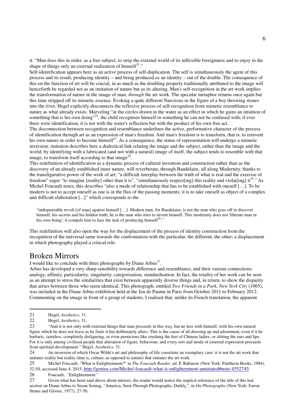it. "Man does this in order, as a free subject, to strip the external world of its inflexible foreignness and to enjoy in the shape of things only an external realization of himself $^{21}$ ."

Self-identification appears here as an active process of self-duplication. The self is simultaneously the agent of this process and its result, producing identity – and being produced *as* an identity – out of the double. The consequence of this on the function of art will be crucial, in as much as the doubling property traditionally attributed to the image will henceforth be regarded not as an imitation of nature but as its altering. Man's self-recognition in the art work implies the transformation of nature in the image of man, *through* the art work. The specular metaphor returns once again but this time stripped off its mimetic essence. Evoking a quite different Narcissus in the figure of a boy throwing stones into the river, Hegel explicitly disconnects the reflexive process of self-recognition from mimetic resemblance to nature as what already exists. Marveling "at the circles drawn in the water as an effect in which he gains an intuition of something that is his own doing"<sup>22</sup>, the child recognises himself in something he can not be confused with; if ever there were identification, it is not with the water's reflection but with the product of his own free act.

The disconnection between recognition and resemblance underlines the active, performative character of the process of identification through art as an expression of man's freedom. And man's freedom is to transform, that is, to reinvent his own nature in order to become himself<sup>23</sup>. As a consequence, the status of representation will undergo a mimetic inversion: imitation describes here a dialectical link relating the image and the subject, rather than the image and the world; by identifying with a fabricated (and not with a natural) image of itself, the subject tends to resemble with that image, to transform itself according to that image<sup>24</sup>.

This redefinition of identification as a dynamic process of cultural invention and construction rather than as the discovery of an already established inner nature, will reverberate, through Baudelaire, all along Modernity, thanks to the transfigurative power of the work of art; "a difficult interplay between the truth of what is real and the exercise of freedom" eager "to imagine [reality] other than it is", "simultaneously respect[ing] this reality and violat[ing] it<sup>25</sup>." As Michel Foucault notes, this describes "also a mode of relationship that has to be established with oneself […]. To be modern is not to accept oneself as one is in the flux of the passing moments; it is to take oneself as object of a complex and difficult elaboration [...]" which corresponds to the

"indispensable revolt [of man] against himself […]. Modern man, for Baudelaire, is not the man who goes off to discover himself, his secrets and his hidden truth; he is the man who tries to invent himself. This modernity does not 'liberate man in his own being'; it compels him to face the task of producing himself<sup>26</sup>."

This redefinition will also open the way for the displacement of the process of identity construction from the recognition of the universal same towards the confrontation with the particular, the different, the other; a displacement in which photography played a critical role.

## Broken Mirrors

I would like to conclude with three photographs by Diane Arbus<sup>27</sup>.

Arbus has developed a very sharp sensibility towards difference and resemblance, and their various connections: analogy, affinity, particularity, singularity, categorisation, standardisation. In fact, the totality of her work can be seen as an attempt to stress the similarities that exist between apparently diverse things and, in return, to show the disparity that arises between those who seem identical. This photograph, entitled *Two Friends in a Park, New York City* (1965), was included in the Diane Arbus exhibition held at the Jeu de Paume in Paris from October 2011 to February 2012. Commenting on the image in front of a group of students, I realised that, unlike its French translation, the apparent

 $\overline{a}$ 

25 Michel Foucault, "What is Enlightenment?" in *The Foucault Reader*, ed. P. Rabinow (New York: Pantheon Books, 1984), 32-50, accessed June 4, 2015, http://genius.com/Michel-foucault-what-is-enlightenment-annotated#note-4552745.

26Foucault, "Enlightenment."

27 Given what has been said above about mirrors, the reader would notice the implicit reference of the title of this last section on Diane Arbus to Susan Sontag, "America, Seen Through Photographs, Darkly,", in *On Photography* (New York: Farrar, Straus and Giroux, 1977), 27-50.

<sup>21</sup>Hegel, *Aesthetics*, 31.

<sup>22</sup>Hegel, *Aesthetics*, 31.

<sup>23</sup> "And it is not only with external things that man proceeds in this way, but no less with himself, with his own natural figure which he does not leave as he finds it but deliberately alters. This is the cause of all dressing up and adornment, even if it be barbaric, tasteless, completely disfiguring, or even pernicious like crushing the feet of Chinese ladies, or slitting the ears and lips. For it is only among civilized people that alteration of figure, behaviour, and every sort and mode of external expression proceeds from spiritual development." Hegel, *Aesthetics*, 31.

<sup>24</sup> An inversion of which Oscar Wilde's art and philosophy of life constitute an exemplary case: it is not the art work that imitates reality but reality (that is, culture, as opposed to nature) that imitates the art work.